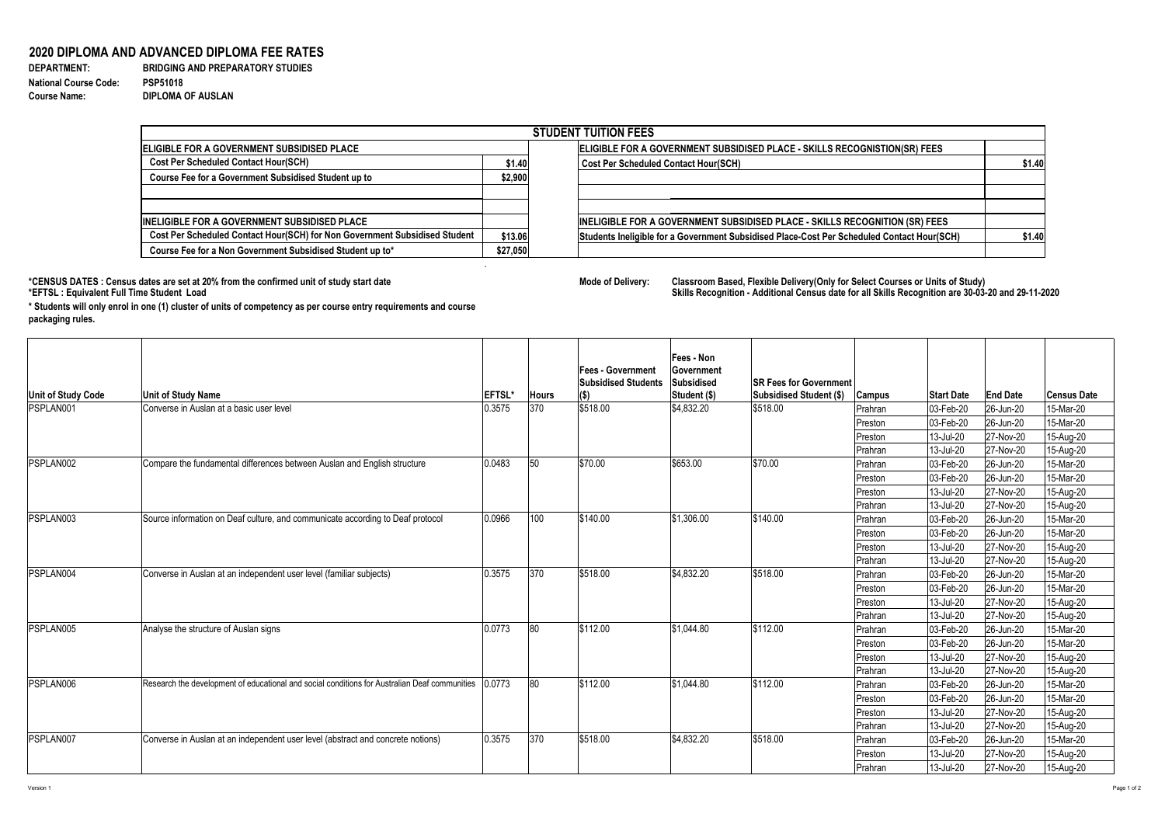## **2020 DIPLOMA AND ADVANCED DIPLOMA FEE RATES**

**National Course Code: PSP51018 Course Name: DIPLOMA OF AUSLAN**

**DEPARTMENT: BRIDGING AND PREPARATORY STUDIES** 

.

\*CENSUS DATES : Census dates are set at 20% from the confirmed unit of study start date **Mode Delixery: A select Courses or Select Courses or Select Courses of Delivery:<br>\*EFTSL : Equivalent Full Time Student Load** 

|                                                                            |          | <b>STUDENT TUITION FEES</b>                                                                |        |
|----------------------------------------------------------------------------|----------|--------------------------------------------------------------------------------------------|--------|
| <b>ELIGIBLE FOR A GOVERNMENT SUBSIDISED PLACE</b>                          |          | ELIGIBLE FOR A GOVERNMENT SUBSIDISED PLACE - SKILLS RECOGNISTION(SR) FEES                  |        |
| <b>Cost Per Scheduled Contact Hour(SCH)</b>                                | \$1.40   | <b>Cost Per Scheduled Contact Hour(SCH)</b>                                                | \$1.40 |
| <b>Course Fee for a Government Subsidised Student up to</b>                | \$2,900  |                                                                                            |        |
| <b>INELIGIBLE FOR A GOVERNMENT SUBSIDISED PLACE</b>                        |          | INELIGIBLE FOR A GOVERNMENT SUBSIDISED PLACE - SKILLS RECOGNITION (SR) FEES                |        |
| Cost Per Scheduled Contact Hour(SCH) for Non Government Subsidised Student | \$13.06  | Students Ineligible for a Government Subsidised Place-Cost Per Scheduled Contact Hour(SCH) | \$1.40 |
| Course Fee for a Non Government Subsidised Student up to*                  | \$27,050 |                                                                                            |        |

|                           |                                                                                               |               |       | <b> Fees - Government</b><br><b>Subsidised Students</b> | <b>Fees - Non</b><br><b>Government</b><br>Subsidised | <b>ISR Fees for Government</b> |               |                   |                 |                    |
|---------------------------|-----------------------------------------------------------------------------------------------|---------------|-------|---------------------------------------------------------|------------------------------------------------------|--------------------------------|---------------|-------------------|-----------------|--------------------|
| <b>Unit of Study Code</b> | <b>Unit of Study Name</b>                                                                     | <b>EFTSL*</b> | Hours | $\mathbf{I}(\mathbf{\$})$                               | Student (\$)                                         | <b>Subsidised Student (\$)</b> | <b>Campus</b> | <b>Start Date</b> | <b>End Date</b> | <b>Census Date</b> |
| <b>PSPLAN001</b>          | Converse in Auslan at a basic user level                                                      | 0.3575        | 370   | \$518.00                                                | $\frac{1}{3}4,832.20$                                | \$518.00                       | Prahran       | $ 03 - Feb - 20 $ | 26-Jun-20       | 15-Mar-20          |
|                           |                                                                                               |               |       |                                                         |                                                      |                                | Preston       | 03-Feb-20         | $ 26 - Jun-20 $ | 15-Mar-20          |
|                           |                                                                                               |               |       |                                                         |                                                      |                                | Preston       | 13-Jul-20         | 27-Nov-20       | 15-Aug-20          |
|                           |                                                                                               |               |       |                                                         |                                                      |                                | Prahran       | 13-Jul-20         | 27-Nov-20       | 15-Aug-20          |
| PSPLAN002                 | Compare the fundamental differences between Auslan and English structure                      | 0.0483        | 50    | \$70.00                                                 | \$653.00                                             | \$70.00                        | Prahran       | 03-Feb-20         | 26-Jun-20       | 15-Mar-20          |
|                           |                                                                                               |               |       |                                                         |                                                      |                                | Preston       | 03-Feb-20         | 26-Jun-20       | 15-Mar-20          |
|                           |                                                                                               |               |       |                                                         |                                                      |                                | Preston       | 13-Jul-20         | 27-Nov-20       | 15-Aug-20          |
|                           |                                                                                               |               |       |                                                         |                                                      |                                | Prahran       | 13-Jul-20         | 27-Nov-20       | 15-Aug-20          |
| PSPLAN003<br>PSPLAN004    | Source information on Deaf culture, and communicate according to Deaf protocol                | 0.0966        | 100   | \$140.00                                                | \$1,306.00                                           | \$140.00                       | Prahran       | $ 03 - Feb - 20 $ | 26-Jun-20       | 15-Mar-20          |
|                           |                                                                                               |               |       |                                                         |                                                      |                                | Preston       | $ 03 - Feb - 20 $ | 26-Jun-20       | 15-Mar-20          |
|                           |                                                                                               |               |       |                                                         |                                                      |                                | Preston       | 13-Jul-20         | 27-Nov-20       | 15-Aug-20          |
|                           |                                                                                               |               |       |                                                         |                                                      |                                | Prahran       | 13-Jul-20         | 27-Nov-20       | 15-Aug-20          |
|                           | Converse in Auslan at an independent user level (familiar subjects)                           | 0.3575        | 370   | \$518.00                                                | $\frac{1}{3}4,832.20$                                | \$518.00                       | Prahran       | 03-Feb-20         | 26-Jun-20       | 15-Mar-20          |
|                           |                                                                                               |               |       |                                                         |                                                      |                                | Preston       | 03-Feb-20         | 26-Jun-20       | 15-Mar-20          |
|                           |                                                                                               |               |       |                                                         |                                                      |                                | Preston       | 13-Jul-20         | 27-Nov-20       | 15-Aug-20          |
|                           |                                                                                               |               |       |                                                         |                                                      |                                | Prahran       | 13-Jul-20         | 27-Nov-20       | 15-Aug-20          |
| PSPLAN005                 | Analyse the structure of Auslan signs                                                         | 0.0773        | 80    | \$112.00                                                | \$1,044.80                                           | \$112.00                       | Prahran       | $ 03 - Feb - 20 $ | 26-Jun-20       | 15-Mar-20          |
|                           |                                                                                               |               |       |                                                         |                                                      |                                | Preston       | $ 03 - Feb - 20 $ | 26-Jun-20       | 15-Mar-20          |
|                           |                                                                                               |               |       |                                                         |                                                      |                                | Preston       | 13-Jul-20         | 27-Nov-20       | 15-Aug-20          |
|                           |                                                                                               |               |       |                                                         |                                                      |                                | Prahran       | 13-Jul-20         | 27-Nov-20       | 15-Aug-20          |
| <b>PSPLAN006</b>          | Research the development of educational and social conditions for Australian Deaf communities | 0.0773        | 80    | \$112.00                                                | \$1,044.80                                           | \$112.00                       | Prahran       | $ 03 - Feb - 20 $ | 26-Jun-20       | 15-Mar-20          |
|                           |                                                                                               |               |       |                                                         |                                                      |                                | Preston       | $ 03 - Feb - 20 $ | 26-Jun-20       | 15-Mar-20          |
|                           |                                                                                               |               |       |                                                         |                                                      |                                | Preston       | 13-Jul-20         | 27-Nov-20       | 15-Aug-20          |
|                           |                                                                                               |               |       |                                                         |                                                      |                                | Prahran       | 13-Jul-20         | 27-Nov-20       | 15-Aug-20          |
| PSPLAN007                 | Converse in Auslan at an independent user level (abstract and concrete notions)               | 0.3575        | 370   | \$518.00                                                | $\frac{1}{3}4,832.20$                                | \$518.00                       | Prahran       | 03-Feb-20         | 26-Jun-20       | 15-Mar-20          |
|                           |                                                                                               |               |       |                                                         |                                                      |                                | Preston       | 13-Jul-20         | 27-Nov-20       | 15-Aug-20          |
|                           |                                                                                               |               |       |                                                         |                                                      |                                | Prahran       | 13-Jul-20         | 27-Nov-20       | 15-Aug-20          |

Classroom Based, Flexible Delivery(Only for Select Courses or Units of Study)<br>Skills Recognition - Additional Census date for all Skills Recognition are 30-03-20 and 29-11-2020

| \$1.40 |
|--------|
|        |
|        |
|        |
|        |
|        |
|        |
|        |
|        |
| \$1.40 |
|        |
|        |

**\* Students will only enrol in one (1) cluster of units of competency as per course entry requirements and course packaging rules.**